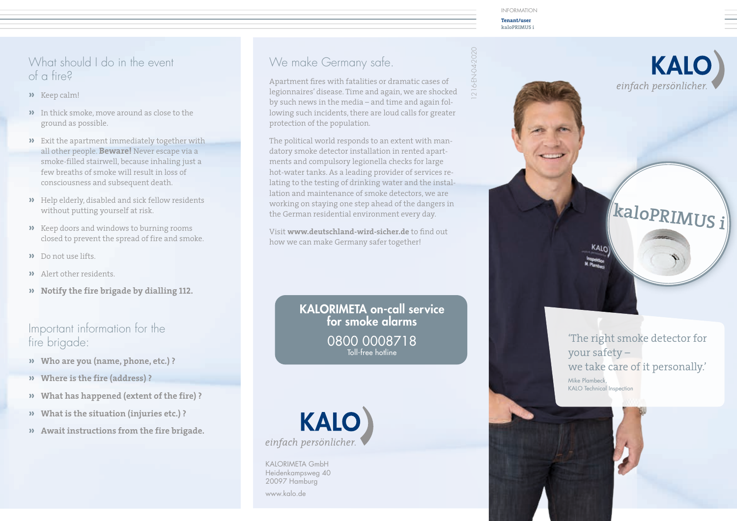**Tenant/user kaloPRIMUS i**

#### What should I do in the event of a fire?

- **»** Keep calm!
- **»** In thick smoke, move around as close to the ground as possible.
- **»** Exit the apartment immediately together with all other people. **Beware!** Never escape via a smoke-filled stairwell, because inhaling just a few breaths of smoke will result in loss of consciousness and subsequent death.
- **»** Help elderly, disabled and sick fellow residents without putting yourself at risk.
- **»** Keep doors and windows to burning rooms closed to prevent the spread of fire and smoke.
- **»** Do not use lifts.
- **»** Alert other residents.
- **» Notify the fire brigade by dialling 112.**

#### Important information for the fire brigade:

- **» Who are you (name, phone, etc.) ?**
- **» Where is the fire (address) ?**
- **» What has happened (extent of the fire) ?**
- **» What is the situation (injuries etc.) ?**
- **» Await instructions from the fire brigade.**

# We make Germany safe.

Apartment fires with fatalities or dramatic cases of legionnaires' disease. Time and again, we are shocked by such news in the media – and time and again following such incidents, there are loud calls for greater protection of the population.

The political world responds to an extent with mandatory smoke detector installation in rented apartments and compulsory legionella checks for large hot-water tanks. As a leading provider of services relating to the testing of drinking water and the installation and maintenance of smoke detectors, we are working on staying one step ahead of the dangers in the German residential environment every day.

Visit **www.deutschland-wird-sicher.de** to find out how we can make Germany safer together!

> KALORIMETA on-call service for smoke alarms 0800 0008718 Toll-free hotline



KALORIMETA GmbH Heidenkampsweg 40 20097 Hamburg www.kalo.de

216-EN-04-2020 1216-EN-04-2020



**KALO** 

einfach persönlicher.

'The right smoke detector for your safety – we take care of it personally.' Mike Plambeck, KALO Technical Inspection